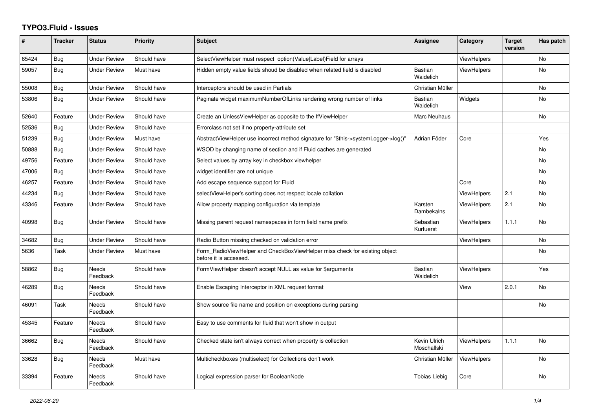## **TYPO3.Fluid - Issues**

| #     | <b>Tracker</b> | <b>Status</b>            | Priority    | Subject                                                                                              | <b>Assignee</b>             | Category           | <b>Target</b><br>version | Has patch      |
|-------|----------------|--------------------------|-------------|------------------------------------------------------------------------------------------------------|-----------------------------|--------------------|--------------------------|----------------|
| 65424 | Bug            | <b>Under Review</b>      | Should have | SelectViewHelper must respect option(Value Label)Field for arrays                                    |                             | <b>ViewHelpers</b> |                          | No             |
| 59057 | Bug            | Under Review             | Must have   | Hidden empty value fields shoud be disabled when related field is disabled                           | Bastian<br>Waidelich        | <b>ViewHelpers</b> |                          | <b>No</b>      |
| 55008 | <b>Bug</b>     | <b>Under Review</b>      | Should have | Interceptors should be used in Partials                                                              | Christian Müller            |                    |                          | No             |
| 53806 | Bug            | Under Review             | Should have | Paginate widget maximumNumberOfLinks rendering wrong number of links                                 | Bastian<br>Waidelich        | Widgets            |                          | No             |
| 52640 | Feature        | <b>Under Review</b>      | Should have | Create an UnlessViewHelper as opposite to the IfViewHelper                                           | <b>Marc Neuhaus</b>         |                    |                          | <b>No</b>      |
| 52536 | Bug            | <b>Under Review</b>      | Should have | Errorclass not set if no property-attribute set                                                      |                             |                    |                          |                |
| 51239 | Bug            | <b>Under Review</b>      | Must have   | AbstractViewHelper use incorrect method signature for "\$this->systemLogger->log()"                  | Adrian Föder                | Core               |                          | Yes            |
| 50888 | Bug            | Under Review             | Should have | WSOD by changing name of section and if Fluid caches are generated                                   |                             |                    |                          | No             |
| 49756 | Feature        | <b>Under Review</b>      | Should have | Select values by array key in checkbox viewhelper                                                    |                             |                    |                          | No             |
| 47006 | <b>Bug</b>     | <b>Under Review</b>      | Should have | widget identifier are not unique                                                                     |                             |                    |                          | No             |
| 46257 | Feature        | <b>Under Review</b>      | Should have | Add escape sequence support for Fluid                                                                |                             | Core               |                          | No             |
| 44234 | <b>Bug</b>     | <b>Under Review</b>      | Should have | selectViewHelper's sorting does not respect locale collation                                         |                             | ViewHelpers        | 2.1                      | No             |
| 43346 | Feature        | <b>Under Review</b>      | Should have | Allow property mapping configuration via template                                                    | Karsten<br>Dambekalns       | ViewHelpers        | 2.1                      | No             |
| 40998 | Bug            | <b>Under Review</b>      | Should have | Missing parent request namespaces in form field name prefix                                          | Sebastian<br>Kurfuerst      | <b>ViewHelpers</b> | 1.1.1                    | <b>No</b>      |
| 34682 | <b>Bug</b>     | <b>Under Review</b>      | Should have | Radio Button missing checked on validation error                                                     |                             | ViewHelpers        |                          | N <sub>o</sub> |
| 5636  | Task           | Under Review             | Must have   | Form RadioViewHelper and CheckBoxViewHelper miss check for existing object<br>before it is accessed. |                             |                    |                          | No             |
| 58862 | Bug            | Needs<br>Feedback        | Should have | FormViewHelper doesn't accept NULL as value for \$arguments                                          | <b>Bastian</b><br>Waidelich | <b>ViewHelpers</b> |                          | Yes            |
| 46289 | <b>Bug</b>     | Needs<br>Feedback        | Should have | Enable Escaping Interceptor in XML request format                                                    |                             | View               | 2.0.1                    | N <sub>o</sub> |
| 46091 | Task           | Needs<br>Feedback        | Should have | Show source file name and position on exceptions during parsing                                      |                             |                    |                          | No             |
| 45345 | Feature        | <b>Needs</b><br>Feedback | Should have | Easy to use comments for fluid that won't show in output                                             |                             |                    |                          |                |
| 36662 | <b>Bug</b>     | <b>Needs</b><br>Feedback | Should have | Checked state isn't always correct when property is collection                                       | Kevin Ulrich<br>Moschallski | ViewHelpers        | 1.1.1                    | <b>No</b>      |
| 33628 | Bug            | Needs<br>Feedback        | Must have   | Multicheckboxes (multiselect) for Collections don't work                                             | Christian Müller            | ViewHelpers        |                          | No             |
| 33394 | Feature        | Needs<br>Feedback        | Should have | Logical expression parser for BooleanNode                                                            | <b>Tobias Liebig</b>        | Core               |                          | No             |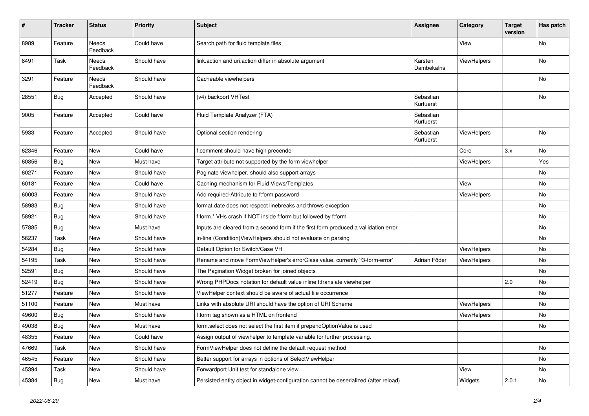| $\sharp$ | <b>Tracker</b> | <b>Status</b>            | <b>Priority</b> | <b>Subject</b>                                                                        | <b>Assignee</b>        | Category    | <b>Target</b><br>version | Has patch |
|----------|----------------|--------------------------|-----------------|---------------------------------------------------------------------------------------|------------------------|-------------|--------------------------|-----------|
| 8989     | Feature        | <b>Needs</b><br>Feedback | Could have      | Search path for fluid template files                                                  |                        | View        |                          | <b>No</b> |
| 8491     | Task           | Needs<br>Feedback        | Should have     | link.action and uri.action differ in absolute argument                                | Karsten<br>Dambekalns  | ViewHelpers |                          | No        |
| 3291     | Feature        | Needs<br>Feedback        | Should have     | Cacheable viewhelpers                                                                 |                        |             |                          | No        |
| 28551    | Bug            | Accepted                 | Should have     | (v4) backport VHTest                                                                  | Sebastian<br>Kurfuerst |             |                          | No        |
| 9005     | Feature        | Accepted                 | Could have      | Fluid Template Analyzer (FTA)                                                         | Sebastian<br>Kurfuerst |             |                          |           |
| 5933     | Feature        | Accepted                 | Should have     | Optional section rendering                                                            | Sebastian<br>Kurfuerst | ViewHelpers |                          | No        |
| 62346    | Feature        | New                      | Could have      | f:comment should have high precende                                                   |                        | Core        | 3.x                      | No        |
| 60856    | Bug            | New                      | Must have       | Target attribute not supported by the form viewhelper                                 |                        | ViewHelpers |                          | Yes       |
| 60271    | Feature        | New                      | Should have     | Paginate viewhelper, should also support arrays                                       |                        |             |                          | No        |
| 60181    | Feature        | New                      | Could have      | Caching mechanism for Fluid Views/Templates                                           |                        | View        |                          | No        |
| 60003    | Feature        | <b>New</b>               | Should have     | Add required-Attribute to f:form.password                                             |                        | ViewHelpers |                          | No        |
| 58983    | Bug            | New                      | Should have     | format.date does not respect linebreaks and throws exception                          |                        |             |                          | No        |
| 58921    | Bug            | New                      | Should have     | f:form.* VHs crash if NOT inside f:form but followed by f:form                        |                        |             |                          | No        |
| 57885    | Bug            | New                      | Must have       | Inputs are cleared from a second form if the first form produced a vallidation error  |                        |             |                          | <b>No</b> |
| 56237    | Task           | New                      | Should have     | in-line (Condition) View Helpers should not evaluate on parsing                       |                        |             |                          | No        |
| 54284    | Bug            | New                      | Should have     | Default Option for Switch/Case VH                                                     |                        | ViewHelpers |                          | No        |
| 54195    | Task           | New                      | Should have     | Rename and move FormViewHelper's errorClass value, currently 'f3-form-error'          | Adrian Föder           | ViewHelpers |                          | No        |
| 52591    | Bug            | New                      | Should have     | The Pagination Widget broken for joined objects                                       |                        |             |                          | No        |
| 52419    | Bug            | New                      | Should have     | Wrong PHPDocs notation for default value inline f:translate viewhelper                |                        |             | 2.0                      | No        |
| 51277    | Feature        | <b>New</b>               | Should have     | ViewHelper context should be aware of actual file occurrence                          |                        |             |                          | No        |
| 51100    | Feature        | New                      | Must have       | Links with absolute URI should have the option of URI Scheme                          |                        | ViewHelpers |                          | No        |
| 49600    | Bug            | New                      | Should have     | f:form tag shown as a HTML on frontend                                                |                        | ViewHelpers |                          | No        |
| 49038    | Bug            | New                      | Must have       | form.select does not select the first item if prependOptionValue is used              |                        |             |                          | <b>No</b> |
| 48355    | Feature        | New                      | Could have      | Assign output of viewhelper to template variable for further processing.              |                        |             |                          |           |
| 47669    | Task           | New                      | Should have     | FormViewHelper does not define the default request method                             |                        |             |                          | No        |
| 46545    | Feature        | New                      | Should have     | Better support for arrays in options of SelectViewHelper                              |                        |             |                          | No        |
| 45394    | Task           | New                      | Should have     | Forwardport Unit test for standalone view                                             |                        | View        |                          | No        |
| 45384    | Bug            | New                      | Must have       | Persisted entity object in widget-configuration cannot be deserialized (after reload) |                        | Widgets     | 2.0.1                    | No        |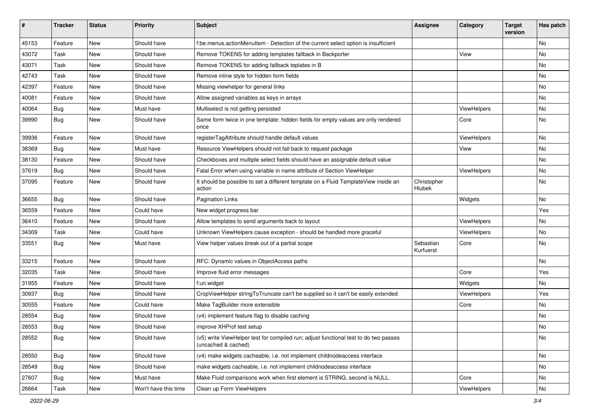| #     | <b>Tracker</b> | <b>Status</b> | <b>Priority</b>      | Subject                                                                                                     | <b>Assignee</b>        | Category    | <b>Target</b><br>version | Has patch |
|-------|----------------|---------------|----------------------|-------------------------------------------------------------------------------------------------------------|------------------------|-------------|--------------------------|-----------|
| 45153 | Feature        | New           | Should have          | f:be.menus.actionMenuItem - Detection of the current select option is insufficient                          |                        |             |                          | <b>No</b> |
| 43072 | Task           | New           | Should have          | Remove TOKENS for adding templates fallback in Backporter                                                   |                        | View        |                          | No        |
| 43071 | Task           | New           | Should have          | Remove TOKENS for adding fallback teplates in B                                                             |                        |             |                          | No        |
| 42743 | Task           | New           | Should have          | Remove inline style for hidden form fields                                                                  |                        |             |                          | <b>No</b> |
| 42397 | Feature        | New           | Should have          | Missing viewhelper for general links                                                                        |                        |             |                          | No        |
| 40081 | Feature        | <b>New</b>    | Should have          | Allow assigned variables as keys in arrays                                                                  |                        |             |                          | No        |
| 40064 | Bug            | New           | Must have            | Multiselect is not getting persisted                                                                        |                        | ViewHelpers |                          | No        |
| 39990 | Bug            | New           | Should have          | Same form twice in one template: hidden fields for empty values are only rendered<br>once                   |                        | Core        |                          | No        |
| 39936 | Feature        | New           | Should have          | registerTagAttribute should handle default values                                                           |                        | ViewHelpers |                          | No        |
| 38369 | Bug            | New           | Must have            | Resource ViewHelpers should not fall back to request package                                                |                        | View        |                          | No        |
| 38130 | Feature        | New           | Should have          | Checkboxes and multiple select fields should have an assignable default value                               |                        |             |                          | No        |
| 37619 | Bug            | New           | Should have          | Fatal Error when using variable in name attribute of Section ViewHelper                                     |                        | ViewHelpers |                          | No        |
| 37095 | Feature        | New           | Should have          | It should be possible to set a different template on a Fluid TemplateView inside an<br>action               | Christopher<br>Hlubek  |             |                          | <b>No</b> |
| 36655 | Bug            | <b>New</b>    | Should have          | <b>Pagination Links</b>                                                                                     |                        | Widgets     |                          | No        |
| 36559 | Feature        | New           | Could have           | New widget progress bar                                                                                     |                        |             |                          | Yes       |
| 36410 | Feature        | New           | Should have          | Allow templates to send arguments back to layout                                                            |                        | ViewHelpers |                          | No        |
| 34309 | Task           | New           | Could have           | Unknown ViewHelpers cause exception - should be handled more graceful                                       |                        | ViewHelpers |                          | No        |
| 33551 | Bug            | New           | Must have            | View helper values break out of a partial scope                                                             | Sebastian<br>Kurfuerst | Core        |                          | No        |
| 33215 | Feature        | New           | Should have          | RFC: Dynamic values in ObjectAccess paths                                                                   |                        |             |                          | <b>No</b> |
| 32035 | Task           | New           | Should have          | Improve fluid error messages                                                                                |                        | Core        |                          | Yes       |
| 31955 | Feature        | New           | Should have          | f:uri.widget                                                                                                |                        | Widgets     |                          | No        |
| 30937 | Bug            | New           | Should have          | CropViewHelper stringToTruncate can't be supplied so it can't be easily extended                            |                        | ViewHelpers |                          | Yes       |
| 30555 | Feature        | New           | Could have           | Make TagBuilder more extensible                                                                             |                        | Core        |                          | No        |
| 28554 | Bug            | New           | Should have          | (v4) implement feature flag to disable caching                                                              |                        |             |                          | <b>No</b> |
| 28553 | Bug            | New           | Should have          | improve XHProf test setup                                                                                   |                        |             |                          | No        |
| 28552 | Bug            | New           | Should have          | (v5) write ViewHelper test for compiled run; adjust functional test to do two passes<br>(uncached & cached) |                        |             |                          | No        |
| 28550 | <b>Bug</b>     | New           | Should have          | (v4) make widgets cacheable, i.e. not implement childnodeaccess interface                                   |                        |             |                          | No        |
| 28549 | Bug            | New           | Should have          | make widgets cacheable, i.e. not implement childnodeaccess interface                                        |                        |             |                          | No        |
| 27607 | <b>Bug</b>     | New           | Must have            | Make Fluid comparisons work when first element is STRING, second is NULL.                                   |                        | Core        |                          | No        |
| 26664 | Task           | New           | Won't have this time | Clean up Form ViewHelpers                                                                                   |                        | ViewHelpers |                          | No        |